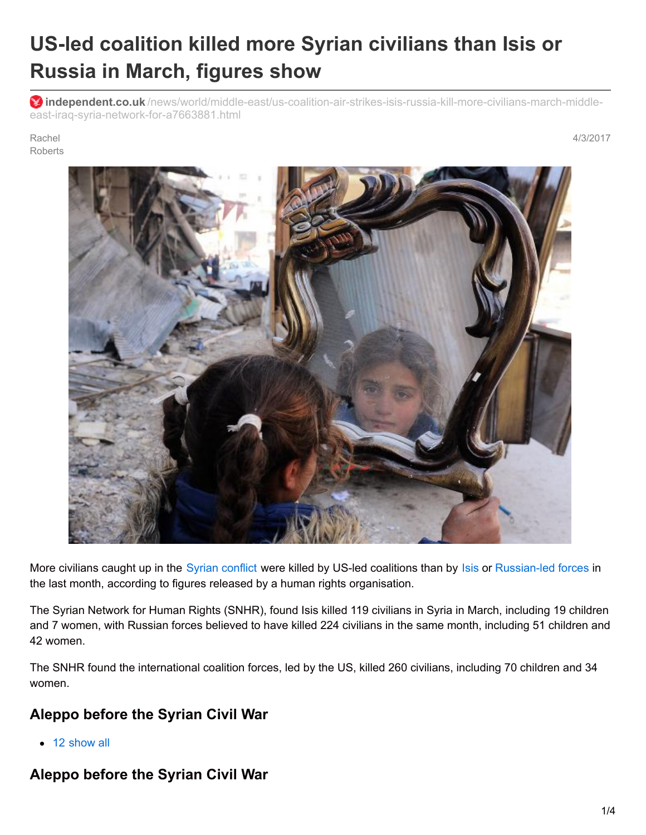# **US-led coalition killed more Syrian civilians than Isis or Russia in March, figures show**

**independent.co.uk** [/news/world/middle-east/us-coalition-air-strikes-isis-russia-kill-more-civilians-march-middle](http://www.independent.co.uk/news/world/middle-east/us-coalition-air-strikes-isis-russia-kill-more-civilians-march-middle-east-iraq-syria-network-for-a7663881.html)east-iraq-syria-network-for-a7663881.html

#### Rachel **Roberts**

4/3/2017



More civilians caught up in the Syrian [conflict](http://www.independent.co.uk/topic/Syria) were killed by US-led coalitions than by [Isis](http://www.independent.co.uk/topic/isis) or [Russian-led](http://www.independent.co.uk/news/world/middle-east/russia-withdraw-armed-forces-syria-aircraft-carrier-group-civil-war-ceasefire-assad-regime-ally-a7512541.html) forces in the last month, according to figures released by a human rights organisation.

The Syrian Network for Human Rights (SNHR), found Isis killed 119 civilians in Syria in March, including 19 children and 7 women, with Russian forces believed to have killed 224 civilians in the same month, including 51 children and 42 women.

The SNHR found the international coalition forces, led by the US, killed 260 civilians, including 70 children and 34 women.

#### **Aleppo before the Syrian Civil War**

• 12 show all

# **Aleppo before the Syrian Civil War**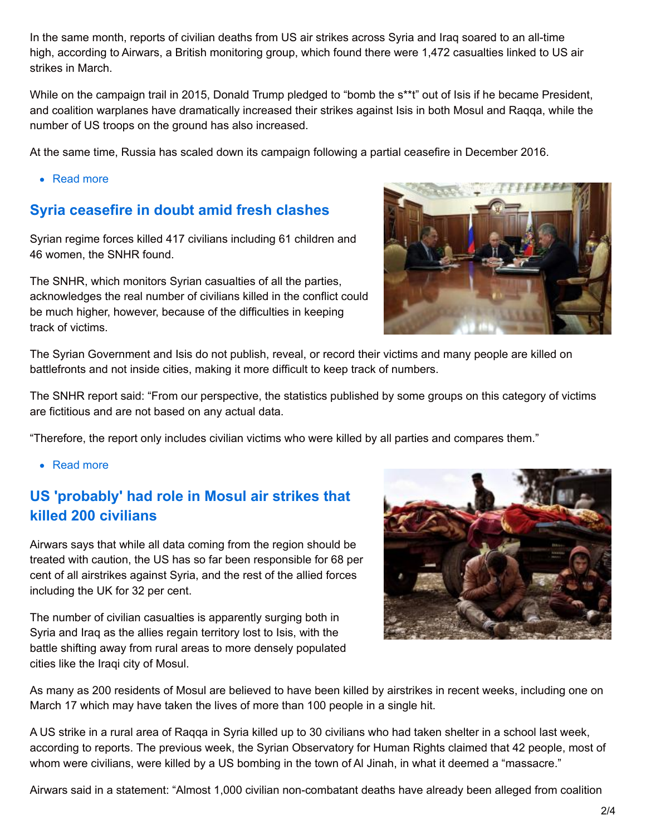In the same month, reports of civilian deaths from US air strikes across Syria and Iraq soared to an all-time high, according to Airwars, a British monitoring group, which found there were 1,472 casualties linked to US air strikes in March.

While on the campaign trail in 2015, Donald Trump pledged to "bomb the s\*\*t" out of Isis if he became President, and coalition warplanes have dramatically increased their strikes against Isis in both Mosul and Raqqa, while the number of US troops on the ground has also increased.

At the same time, Russia has scaled down its campaign following a partial ceasefire in December 2016.

• Read more

#### **Syria ceasefire in doubt amid fresh clashes**

Syrian regime forces killed 417 civilians including 61 children and 46 women, the SNHR found.

The SNHR, which monitors Syrian casualties of all the parties, acknowledges the real number of civilians killed in the conflict could be much higher, however, because of the difficulties in keeping track of victims.



The Syrian Government and Isis do not publish, reveal, or record their victims and many people are killed on battlefronts and not inside cities, making it more difficult to keep track of numbers.

The SNHR report said: "From our perspective, the statistics published by some groups on this category of victims are fictitious and are not based on any actual data.

"Therefore, the report only includes civilian victims who were killed by all parties and compares them."

• Read more

## **US 'probably' had role in Mosul air strikes that killed 200 civilians**

Airwars says that while all data coming from the region should be treated with caution, the US has so far been responsible for 68 per cent of all airstrikes against Syria, and the rest of the allied forces including the UK for 32 per cent.

The number of civilian casualties is apparently surging both in Syria and Iraq as the allies regain territory lost to Isis, with the battle shifting away from rural areas to more densely populated cities like the Iraqi city of Mosul.



As many as 200 residents of Mosul are believed to have been killed by airstrikes in recent weeks, including one on March 17 which may have taken the lives of more than 100 people in a single hit.

A US strike in a rural area of Raqqa in Syria killed up to 30 civilians who had taken shelter in a school last week, according to reports. The previous week, the Syrian Observatory for Human Rights claimed that 42 people, most of whom were civilians, were killed by a US bombing in the town of AI Jinah, in what it deemed a "massacre."

Airwars said in a statement: "Almost 1,000 civilian non-combatant deaths have already been alleged from coalition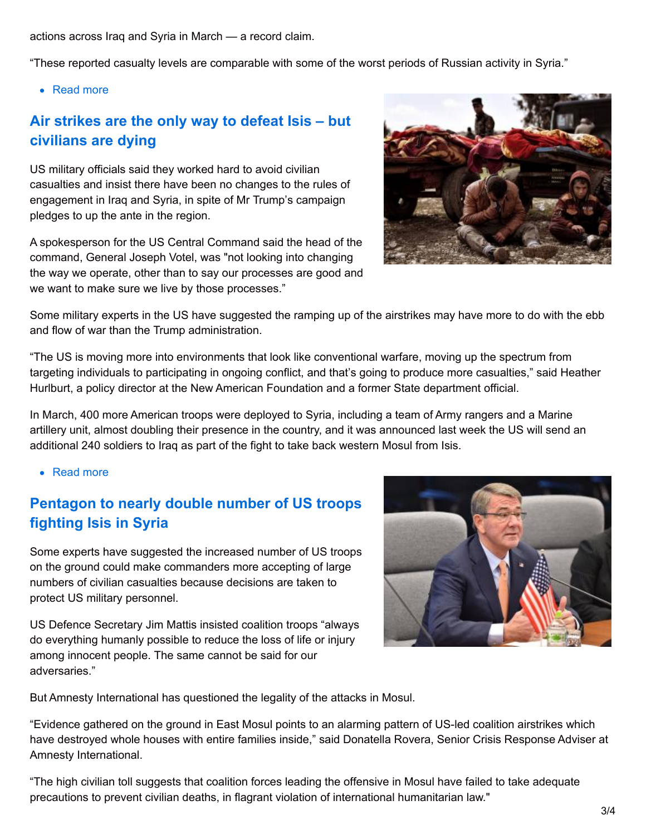actions across Iraq and Syria in March — a record claim.

"These reported casualty levels are comparable with some of the worst periods of Russian activity in Syria."

• Read more

### **Air strikes are the only way to defeat Isis – but civilians are dying**

US military officials said they worked hard to avoid civilian casualties and insist there have been no changes to the rules of engagement in Iraq and Syria, in spite of Mr Trump's campaign pledges to up the ante in the region.

A spokesperson for the US Central Command said the head of the command, General Joseph Votel, was "not looking into changing the way we operate, other than to say our processes are good and we want to make sure we live by those processes."



Some military experts in the US have suggested the ramping up of the airstrikes may have more to do with the ebb and flow of war than the Trump administration.

"The US is moving more into environments that look like conventional warfare, moving up the spectrum from targeting individuals to participating in ongoing conflict, and that's going to produce more casualties," said Heather Hurlburt, a policy director at the New American Foundation and a former State department official.

In March, 400 more American troops were deployed to Syria, including a team of Army rangers and a Marine artillery unit, almost doubling their presence in the country, and it was announced last week the US will send an additional 240 soldiers to Iraq as part of the fight to take back western Mosul from Isis.

• Read more

# **Pentagon to nearly double number of US troops fighting Isis in Syria**

Some experts have suggested the increased number of US troops on the ground could make commanders more accepting of large numbers of civilian casualties because decisions are taken to protect US military personnel.

US Defence Secretary Jim Mattis insisted coalition troops "always do everything humanly possible to reduce the loss of life or injury among innocent people. The same cannot be said for our adversaries."



But Amnesty International has questioned the legality of the attacks in Mosul.

"Evidence gathered on the ground in East Mosul points to an alarming pattern of US-led coalition airstrikes which have destroyed whole houses with entire families inside," said Donatella Rovera, Senior Crisis Response Adviser at Amnesty International.

"The high civilian toll suggests that coalition forces leading the offensive in Mosul have failed to take adequate precautions to prevent civilian deaths, in flagrant violation of international humanitarian law."